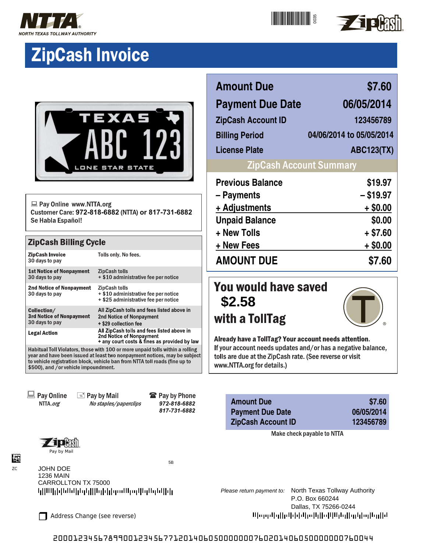



# **ZipCash Invoice**



Pay Online www.NTTA.org Customer Care: 972-818-6882 (NTTA) or 817-731-6882 Se Habla Español!

#### **ZipCash Billing Cycle**

| <b>ZipCash Invoice</b><br>30 days to pay                                                                                                                                                                                                                                          | Tolls only. No fees.                                                                                                   |  |  |
|-----------------------------------------------------------------------------------------------------------------------------------------------------------------------------------------------------------------------------------------------------------------------------------|------------------------------------------------------------------------------------------------------------------------|--|--|
| <b>1st Notice of Nonpayment</b><br>30 days to pay                                                                                                                                                                                                                                 | <b>ZipCash tolls</b><br>+ \$10 administrative fee per notice                                                           |  |  |
| <b>2nd Notice of Nonpayment</b><br>30 days to pay                                                                                                                                                                                                                                 | <b>ZipCash tolls</b><br>+ \$10 administrative fee per notice<br>+ \$25 administrative fee per notice                   |  |  |
| Collection/<br><b>3rd Notice of Nonpayment</b><br>30 days to pay                                                                                                                                                                                                                  | All ZipCash tolls and fees listed above in<br>2nd Notice of Nonpayment<br>+ \$29 collection fee                        |  |  |
| <b>Legal Action</b>                                                                                                                                                                                                                                                               | All ZipCash tolls and fees listed above in<br>2nd Notice of Nonpayment<br>+ any court costs & fines as provided by law |  |  |
| Habitual Toll Violators, those with 100 or more unpaid tolls within a rolling<br>year and have been issued at least two nonpayment notices, may be subject<br>to vehicle registration block, vehicle ban from NTTA toll roads (fine up to<br>\$500), and /or vehicle impoundment. |                                                                                                                        |  |  |

 $\Box$  Pay Online NTTA.org

**E** Pay by Mail No staples/paperclips **雷 Pay by Phone** *972-818-6882 817-731-6882*



JOHN DOE

ZC

Ŀã

5B



## **Amount Due \$7.60 Payment Due Date 06/05/2014 ZipCash Account ID 123456789 Billing Period 04/06/2014 to 05/05/2014 License Plate ABC123(TX) ZipCash Account Summary Previous Balance \$19.97 – Payments – \$19.97 + Adjustments + \$0.00 Unpaid Balance \$0.00 + New Tolls + \$7.60 + New Fees + \$0.00 AMOUNT DUE \$7.60**

## You would have saved **\$2.58** with a TollTag



Already have a TollTag? Your account needs attention. If your account needs updates and/or has a negative balance, tolls are due at the ZipCash rate. (See reverse or visit www.NTTA.org for details.)

| <b>Amount Due</b>         | \$7.60     |
|---------------------------|------------|
| <b>Payment Due Date</b>   | 06/05/2014 |
| <b>ZipCash Account ID</b> | 123456789  |

Make check payable to NTTA

Please return payment to: North Texas Tollway Authority P.O. Box 660244 Dallas, TX 75266-0244 Were delle blekkelle Biblio Blukelle de allet

Address Change (see reverse)

2000123456789900123456771201406050000000760201406050000000760044